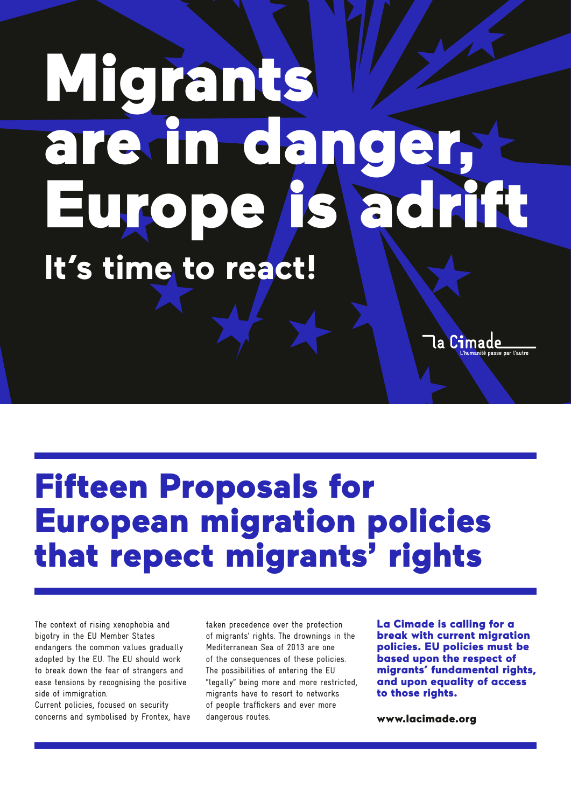## Migrants are in danger, Europe is adrift **It's time to react!**

Fifteen Proposals for European migration policies that repect migrants' rights

The context of rising xenophobia and bigotry in the EU Member States endangers the common values gradually adopted by the EU. The EU should work to break down the fear of strangers and ease tensions by recognising the positive side of immigration.

Current policies, focused on security concerns and symbolised by Frontex, have taken precedence over the protection of migrants' rights. The drownings in the Mediterranean Sea of 2013 are one of the consequences of these policies. The possibilities of entering the EU "legally" being more and more restricted, migrants have to resort to networks of people traffickers and ever more dangerous routes.

La Cimade is calling for a break with current migration policies. EU policies must be based upon the respect of migrants' fundamental rights, and upon equality of access to those rights.

la Cimade

www.lacimade.org